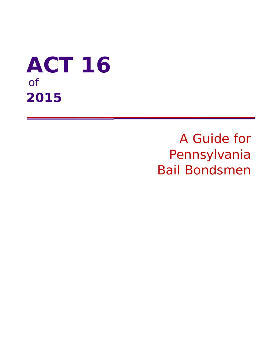# **ACT 16**  of **2015**

A Guide for Pennsylvania Bail Bondsmen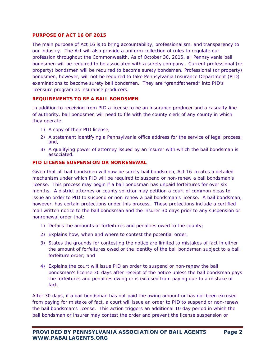#### **PURPOSE OF ACT 16 OF 2015**

The main purpose of Act 16 is to bring accountability, professionalism, and transparency to our industry. The Act will also provide a uniform collection of rules to regulate our profession throughout the Commonwealth. As of October 30, 2015, all Pennsylvania bail bondsmen will be required to be associated with a surety company. Current professional (or property) bondsmen will be required to become surety bondsmen. Professional (or property) bondsmen, however, will not be required to take Pennsylvania Insurance Department (PID) examinations to become surety bail bondsmen. They are "grandfathered" into PID's licensure program as insurance producers.

## **REQUIREMENTS TO BE A BAIL BONDSMEN**

In addition to receiving from PID a license to be an insurance producer and a casualty line of authority, bail bondsmen will need to file with the county clerk of any county in which they operate:

- 1) A copy of their PID license;
- 2) A statement identifying a Pennsylvania office address for the service of legal process; and,
- 3) A qualifying power of attorney issued by an insurer with which the bail bondsman is associated.

## **PID LICENSE SUSPENSION OR NONRENEWAL**

Given that all bail bondsmen will now be surety bail bondsmen, Act 16 creates a detailed mechanism under which PID will be required to suspend or non-renew a bail bondsman's license. This process may begin if a bail bondsman has unpaid forfeitures for over six months. A district attorney or county solicitor may petition a court of common pleas to issue an order to PID to suspend or non-renew a bail bondsman's license. A bail bondsman, however, has certain protections under this process. These protections include a certified mail written notice to the bail bondsman and the insurer 30 days prior to any suspension or nonrenewal order that:

- 1) Details the amounts of forfeitures and penalties owed to the county;
- 2) Explains how, when and where to contest the potential order;
- 3) States the grounds for contesting the notice are limited to mistakes of fact in either the amount of forfeitures owed or the identity of the bail bondsman subject to a bail forfeiture order; and
- 4) Explains the court will issue PID an order to suspend or non-renew the bail bondsman's license 30 days after receipt of the notice unless the bail bondsman pays the forfeitures and penalties owing or is excused from paying due to a mistake of fact.

After 30 days, if a bail bondsman has not paid the owing amount or has not been excused from paying for mistake of fact, a court will issue an order to PID to suspend or non-renew the bail bondsman's license. This action triggers an additional 10 day period in which the bail bondsman or insurer may contest the order and prevent the license suspension or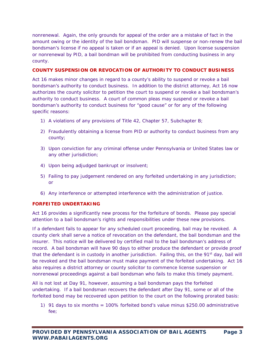nonrenewal. Again, the only grounds for appeal of the order are a mistake of fact in the amount owing or the identity of the bail bondsman. PID will suspense or non-renew the bail bondsman's license if no appeal is taken or if an appeal is denied. Upon license suspension or nonrenewal by PID, a bail bondman will be prohibited from conducting business in any county.

## **COUNTY SUSPENSION OR REVOCATION OF AUTHORITY TO CONDUCT BUSINESS**

Act 16 makes minor changes in regard to a county's ability to suspend or revoke a bail bondsman's authority to conduct business. In addition to the district attorney, Act 16 now authorizes the county solicitor to petition the court to suspend or revoke a bail bondsman's authority to conduct business. A court of common pleas may suspend or revoke a bail bondsman's authority to conduct business for "good cause" or for any of the following specific reasons:

- 1) A violations of any provisions of Title 42, Chapter 57, Subchapter B;
- 2) Fraudulently obtaining a license from PID or authority to conduct business from any county;
- 3) Upon conviction for any criminal offense under Pennsylvania or United States law or any other jurisdiction;
- 4) Upon being adjudged bankrupt or insolvent;
- 5) Failing to pay judgement rendered on any forfeited undertaking in any jurisdiction; or
- 6) Any interference or attempted interference with the administration of justice.

## **FORFEITED UNDERTAKING**

Act 16 provides a significantly new process for the forfeiture of bonds. Please pay special attention to a bail bondsman's rights and responsibilities under these new provisions.

If a defendant fails to appear for any scheduled court proceeding, bail may be revoked. A county clerk shall serve a notice of revocation on the defendant, the bail bondsman and the insurer. This notice will be delivered by certified mail to the bail bondsman's address of record. A bail bondsman will have 90 days to either produce the defendant or provide proof that the defendant is in custody in another jurisdiction. Failing this, on the  $91<sup>st</sup>$  day, bail will be revoked and the bail bondsman must make payment of the forfeited undertaking. Act 16 also requires a district attorney or county solicitor to commence license suspension or nonrenewal proceedings against a bail bondsman who fails to make this timely payment.

All is not lost at Day 91, however, assuming a bail bondsman pays the forfeited undertaking. If a bail bondsman recovers the defendant after Day 91, some or all of the forfeited bond may be recovered upon petition to the court on the following prorated basis:

1) 91 days to six months = 100% forfeited bond's value minus \$250.00 administrative fee;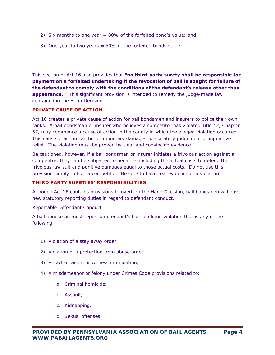- 2) Six months to one year = 80% of the forfeited bond's value; and
- 3) One year to two years = 50% of the forfeited bonds value.

This section of Act 16 also provides that **"no third-party surety shall be responsible for payment on a forfeited undertaking if the revocation of bail is sought for failure of the defendant to comply with the conditions of the defendant's release other than appearance."** This significant provision is intended to remedy the judge-made law contained in the Hann Decision.

#### **PRIVATE CAUSE OF ACTION**

Act 16 creates a private cause of action for bail bondsmen and insurers to police their own ranks. A bail bondsman or insurer who believes a competitor has violated Title 42, Chapter 57, may commence a cause of action in the county in which the alleged violation occurred. This cause of action can be for monetary damages, declaratory judgement or injunctive relief. The violation must be proven by clear and convincing evidence.

Be cautioned, however, if a bail bondsman or insurer initiates a frivolous action against a competitor, they can be subjected to penalties including the actual costs to defend the frivolous law suit and punitive damages equal to those actual costs. Do not use this provision simply to hurt a competitor. Be sure to have real evidence of a violation.

### **THIRD PARTY SURETIES' RESPONSIBILITIES**

Although Act 16 contains provisions to overturn the Hann Decision, bail bondsmen will have new statutory reporting duties in regard to defendant conduct.

#### *Reportable Defendant Conduct*

A bail bondsman must report a defendant's bail condition violation that is any of the following:

- 1) Violation of a stay away order;
- 2) Violation of a protection from abuse order;
- 3) An act of victim or witness intimidation;
- 4) A misdemeanor or felony under Crimes Code provisions related to:
	- a. Criminal homicide;
	- b. Assault;
	- c. Kidnapping;
	- d. Sexual offenses;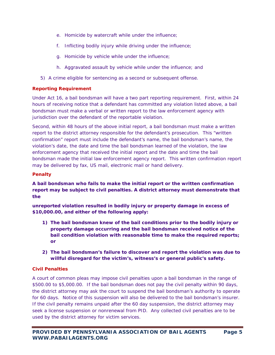- e. Homicide by watercraft while under the influence;
- f. Inflicting bodily injury while driving under the influence;
- g. Homicide by vehicle while under the influence;
- h. Aggravated assault by vehicle while under the influence; and
- 5) A crime eligible for sentencing as a second or subsequent offense.

# *Reporting Requirement*

Under Act 16, a bail bondsman will have a two part reporting requirement. First, within 24 hours of receiving notice that a defendant has committed any violation listed above, a bail bondsman must make a verbal or written report to the law enforcement agency with jurisdiction over the defendant of the reportable violation.

Second, within 48 hours of the above initial report, a bail bondsman must make a written report to the district attorney responsible for the defendant's prosecution. This "written confirmation" report must include the defendant's name, the bail bondsman's name, the violation's date, the date and time the bail bondsman learned of the violation, the law enforcement agency that received the initial report and the date and time the bail bondsman made the initial law enforcement agency report. This written confirmation report may be delivered by fax, US mail, electronic mail or hand delivery.

# *Penalty*

**A bail bondsman who fails to make the initial report or the written confirmation report may be subject to civil penalties. A district attorney must demonstrate that the** 

**unreported violation resulted in bodily injury or property damage in excess of \$10,000.00,** *and* **either of the following apply:** 

- **1) The bail bondsman knew of the bail conditions prior to the bodily injury or property damage occurring and the bail bondsman received notice of the bail condition violation with reasonable time to make the required reports; or**
- **2) The bail bondsman's failure to discover and report the violation was due to willful disregard for the victim's, witness's or general public's safety.**

# *Civil Penalties*

A court of common pleas may impose civil penalties upon a bail bondsman in the range of \$500.00 to \$5,000.00. If the bail bondsman does not pay the civil penalty within 90 days, the district attorney may ask the court to suspend the bail bondsman's authority to operate for 60 days. Notice of this suspension will also be delivered to the bail bondsman's insurer. If the civil penalty remains unpaid after the 60 day suspension, the district attorney may seek a license suspension or nonrenewal from PID. Any collected civil penalties are to be used by the district attorney for victim services.